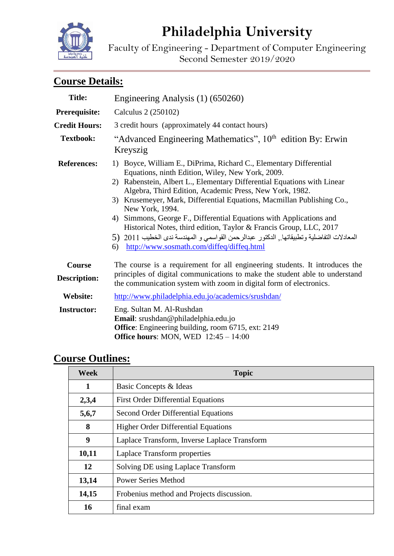# **Philadelphia University**

Faculty of Engineering - Department of Computer Engineering Second Semester 2019/2020

## **Course Details:**

| <b>Title:</b>                        | Engineering Analysis (1) (650260)                                                                                                                                                                                                                                                                                                                                                                                                                                                                                                                                                                                                                         |  |
|--------------------------------------|-----------------------------------------------------------------------------------------------------------------------------------------------------------------------------------------------------------------------------------------------------------------------------------------------------------------------------------------------------------------------------------------------------------------------------------------------------------------------------------------------------------------------------------------------------------------------------------------------------------------------------------------------------------|--|
| Prerequisite:                        | Calculus 2 (250102)                                                                                                                                                                                                                                                                                                                                                                                                                                                                                                                                                                                                                                       |  |
| <b>Credit Hours:</b>                 | 3 credit hours (approximately 44 contact hours)                                                                                                                                                                                                                                                                                                                                                                                                                                                                                                                                                                                                           |  |
| <b>Textbook:</b>                     | "Advanced Engineering Mathematics", 10 <sup>th</sup> edition By: Erwin<br>Kreyszig                                                                                                                                                                                                                                                                                                                                                                                                                                                                                                                                                                        |  |
| <b>References:</b>                   | 1) Boyce, William E., DiPrima, Richard C., Elementary Differential<br>Equations, ninth Edition, Wiley, New York, 2009.<br>Rabenstein, Albert L., Elementary Differential Equations with Linear<br>2)<br>Algebra, Third Edition, Academic Press, New York, 1982.<br>3) Krusemeyer, Mark, Differential Equations, Macmillan Publishing Co.,<br>New York, 1994.<br>4) Simmons, George F., Differential Equations with Applications and<br>Historical Notes, third edition, Taylor & Francis Group, LLC, 2017<br>المعادلات التفاضلية وتطبيقاتها , الدكتور عبدالرحمن القواسمي و المهندسة ندى الخطيب 2011 (5<br>http://www.sosmath.com/diffeq/diffeq.html<br>6) |  |
| <b>Course</b><br><b>Description:</b> | The course is a requirement for all engineering students. It introduces the<br>principles of digital communications to make the student able to understand<br>the communication system with zoom in digital form of electronics.                                                                                                                                                                                                                                                                                                                                                                                                                          |  |
| <b>Website:</b>                      | http://www.philadelphia.edu.jo/academics/srushdan/                                                                                                                                                                                                                                                                                                                                                                                                                                                                                                                                                                                                        |  |
| <b>Instructor:</b>                   | Eng. Sultan M. Al-Rushdan<br>Email: srushdan@philadelphia.edu.jo<br>Office: Engineering building, room 6715, ext: 2149<br>Office hours: MON, WED $12:45 - 14:00$                                                                                                                                                                                                                                                                                                                                                                                                                                                                                          |  |

### **Course Outlines:**

| <b>Week</b> | <b>Topic</b>                                 |  |
|-------------|----------------------------------------------|--|
| 1           | Basic Concepts & Ideas                       |  |
| 2,3,4       | <b>First Order Differential Equations</b>    |  |
| 5,6,7       | Second Order Differential Equations          |  |
| 8           | <b>Higher Order Differential Equations</b>   |  |
| 9           | Laplace Transform, Inverse Laplace Transform |  |
| 10,11       | Laplace Transform properties                 |  |
| 12          | Solving DE using Laplace Transform           |  |
| 13,14       | <b>Power Series Method</b>                   |  |
| 14,15       | Frobenius method and Projects discussion.    |  |
| 16          | final exam                                   |  |